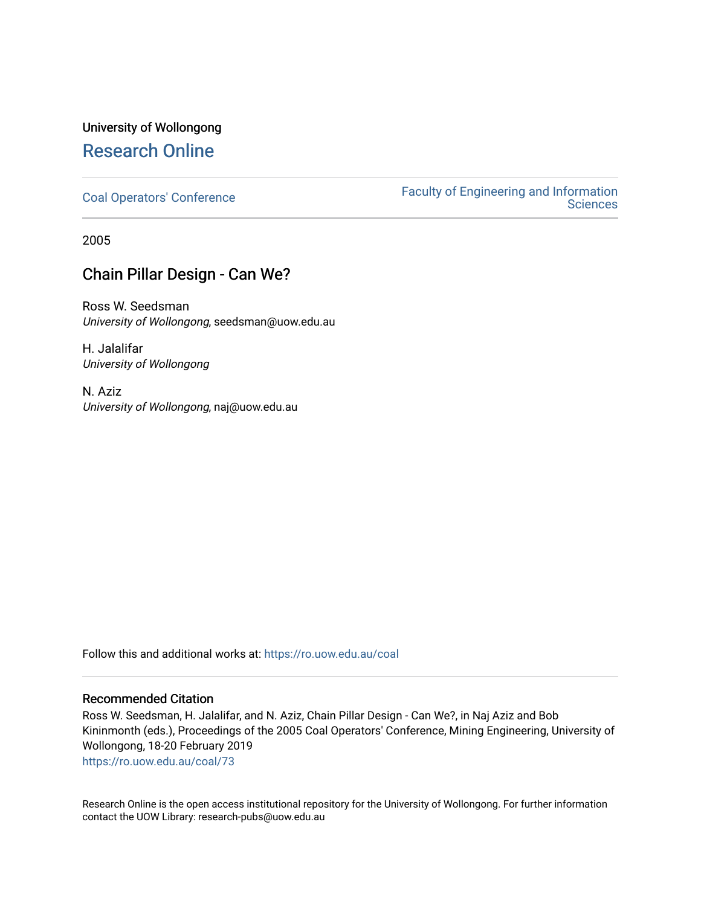# University of Wollongong [Research Online](https://ro.uow.edu.au/)

[Coal Operators' Conference](https://ro.uow.edu.au/coal) [Faculty of Engineering and Information](https://ro.uow.edu.au/eis)  **Sciences** 

2005

# Chain Pillar Design - Can We?

Ross W. Seedsman University of Wollongong, seedsman@uow.edu.au

H. Jalalifar University of Wollongong

N. Aziz University of Wollongong, naj@uow.edu.au

Follow this and additional works at: [https://ro.uow.edu.au/coal](https://ro.uow.edu.au/coal?utm_source=ro.uow.edu.au%2Fcoal%2F73&utm_medium=PDF&utm_campaign=PDFCoverPages) 

## Recommended Citation

Ross W. Seedsman, H. Jalalifar, and N. Aziz, Chain Pillar Design - Can We?, in Naj Aziz and Bob Kininmonth (eds.), Proceedings of the 2005 Coal Operators' Conference, Mining Engineering, University of Wollongong, 18-20 February 2019

[https://ro.uow.edu.au/coal/73](https://ro.uow.edu.au/coal/73?utm_source=ro.uow.edu.au%2Fcoal%2F73&utm_medium=PDF&utm_campaign=PDFCoverPages) 

Research Online is the open access institutional repository for the University of Wollongong. For further information contact the UOW Library: research-pubs@uow.edu.au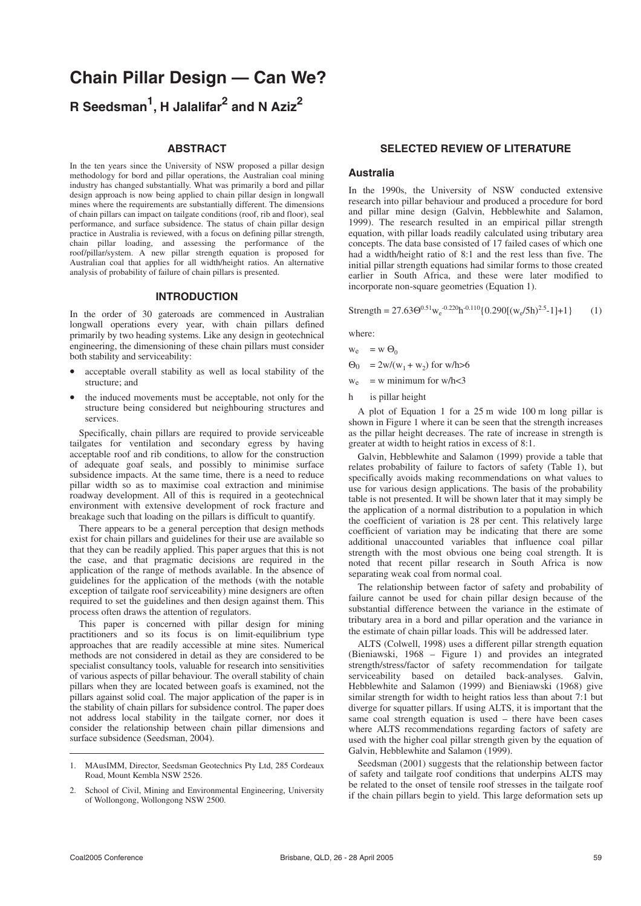# **Chain Pillar Design — Can We? R Seedsman1 , H Jalalifar<sup>2</sup> and N Aziz2**

#### **ABSTRACT**

In the ten years since the University of NSW proposed a pillar design methodology for bord and pillar operations, the Australian coal mining industry has changed substantially. What was primarily a bord and pillar design approach is now being applied to chain pillar design in longwall mines where the requirements are substantially different. The dimensions of chain pillars can impact on tailgate conditions (roof, rib and floor), seal performance, and surface subsidence. The status of chain pillar design practice in Australia is reviewed, with a focus on defining pillar strength, chain pillar loading, and assessing the performance of the roof/pillar/system. A new pillar strength equation is proposed for Australian coal that applies for all width/height ratios. An alternative analysis of probability of failure of chain pillars is presented.

#### **INTRODUCTION**

In the order of 30 gateroads are commenced in Australian longwall operations every year, with chain pillars defined primarily by two heading systems. Like any design in geotechnical engineering, the dimensioning of these chain pillars must consider both stability and serviceability:

- acceptable overall stability as well as local stability of the structure; and
- the induced movements must be acceptable, not only for the structure being considered but neighbouring structures and services.

Specifically, chain pillars are required to provide serviceable tailgates for ventilation and secondary egress by having acceptable roof and rib conditions, to allow for the construction of adequate goaf seals, and possibly to minimise surface subsidence impacts. At the same time, there is a need to reduce pillar width so as to maximise coal extraction and minimise roadway development. All of this is required in a geotechnical environment with extensive development of rock fracture and breakage such that loading on the pillars is difficult to quantify.

There appears to be a general perception that design methods exist for chain pillars and guidelines for their use are available so that they can be readily applied. This paper argues that this is not the case, and that pragmatic decisions are required in the application of the range of methods available. In the absence of guidelines for the application of the methods (with the notable exception of tailgate roof serviceability) mine designers are often required to set the guidelines and then design against them. This process often draws the attention of regulators.

This paper is concerned with pillar design for mining practitioners and so its focus is on limit-equilibrium type approaches that are readily accessible at mine sites. Numerical methods are not considered in detail as they are considered to be specialist consultancy tools, valuable for research into sensitivities of various aspects of pillar behaviour. The overall stability of chain pillars when they are located between goafs is examined, not the pillars against solid coal. The major application of the paper is in the stability of chain pillars for subsidence control. The paper does not address local stability in the tailgate corner, nor does it consider the relationship between chain pillar dimensions and surface subsidence (Seedsman, 2004).

## **SELECTED REVIEW OF LITERATURE**

#### **Australia**

In the 1990s, the University of NSW conducted extensive research into pillar behaviour and produced a procedure for bord and pillar mine design (Galvin, Hebblewhite and Salamon, 1999). The research resulted in an empirical pillar strength equation, with pillar loads readily calculated using tributary area concepts. The data base consisted of 17 failed cases of which one had a width/height ratio of 8:1 and the rest less than five. The initial pillar strength equations had similar forms to those created earlier in South Africa, and these were later modified to incorporate non-square geometries (Equation 1).

Strength = 27.63 $\Theta^{0.51}$ W<sub>e</sub><sup>-0.220</sup>h<sup>-0.110</sup>{0.290[(W<sub>e</sub>/5h)<sup>2.5</sup>-1]+1} (1)

where:

$$
w_e = w \Theta_0
$$
  
\n
$$
\Theta_0 = 2w/(w_1 + w_2) \text{ for w/h} > 6
$$

 $w_e$  = w minimum for w/h<3

h is pillar height

A plot of Equation 1 for a 25 m wide 100 m long pillar is shown in Figure 1 where it can be seen that the strength increases as the pillar height decreases. The rate of increase in strength is greater at width to height ratios in excess of 8:1.

Galvin, Hebblewhite and Salamon (1999) provide a table that relates probability of failure to factors of safety (Table 1), but specifically avoids making recommendations on what values to use for various design applications. The basis of the probability table is not presented. It will be shown later that it may simply be the application of a normal distribution to a population in which the coefficient of variation is 28 per cent. This relatively large coefficient of variation may be indicating that there are some additional unaccounted variables that influence coal pillar strength with the most obvious one being coal strength. It is noted that recent pillar research in South Africa is now separating weak coal from normal coal.

The relationship between factor of safety and probability of failure cannot be used for chain pillar design because of the substantial difference between the variance in the estimate of tributary area in a bord and pillar operation and the variance in the estimate of chain pillar loads. This will be addressed later.

ALTS (Colwell, 1998) uses a different pillar strength equation (Bieniawski, 1968 – Figure 1) and provides an integrated strength/stress/factor of safety recommendation for tailgate serviceability based on detailed back-analyses. Galvin, Hebblewhite and Salamon (1999) and Bieniawski (1968) give similar strength for width to height ratios less than about 7:1 but diverge for squatter pillars. If using ALTS, it is important that the same coal strength equation is used – there have been cases where ALTS recommendations regarding factors of safety are used with the higher coal pillar strength given by the equation of Galvin, Hebblewhite and Salamon (1999).

Seedsman (2001) suggests that the relationship between factor of safety and tailgate roof conditions that underpins ALTS may be related to the onset of tensile roof stresses in the tailgate roof if the chain pillars begin to yield. This large deformation sets up

<sup>1.</sup> MAusIMM, Director, Seedsman Geotechnics Pty Ltd, 285 Cordeaux Road, Mount Kembla NSW 2526.

<sup>2.</sup> School of Civil, Mining and Environmental Engineering, University of Wollongong, Wollongong NSW 2500.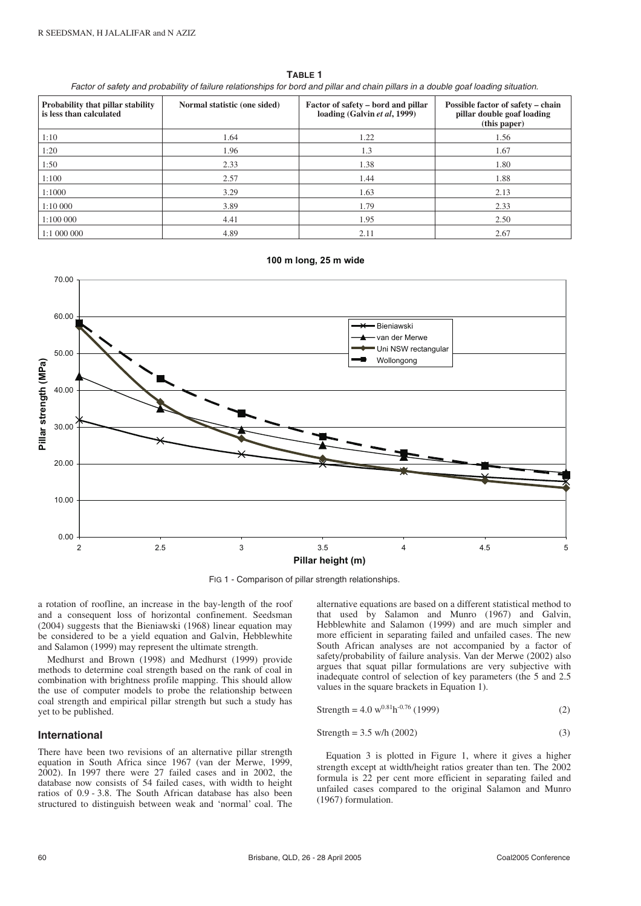**TABLE 1**

Factor of safety and probability of failure relationships for bord and pillar and chain pillars in a double goaf loading situation.

| Probability that pillar stability<br>is less than calculated | Normal statistic (one sided) | Factor of safety – bord and pillar<br>loading (Galvin et al, 1999) | Possible factor of safety – chain<br>pillar double goaf loading<br>(this paper) |
|--------------------------------------------------------------|------------------------------|--------------------------------------------------------------------|---------------------------------------------------------------------------------|
| 1:10                                                         | 1.64                         | 1.22                                                               | 1.56                                                                            |
| 1:20                                                         | 1.96                         | 1.3                                                                | 1.67                                                                            |
| 1:50                                                         | 2.33                         | 1.38                                                               | 1.80                                                                            |
| 1:100                                                        | 2.57                         | 1.44                                                               | 1.88                                                                            |
| 1:1000                                                       | 3.29                         | 1.63                                                               | 2.13                                                                            |
| 1:10 000                                                     | 3.89                         | 1.79                                                               | 2.33                                                                            |
| 1:100 000                                                    | 4.41                         | 1.95                                                               | 2.50                                                                            |
| 1:1 000 000                                                  | 4.89                         | 2.11                                                               | 2.67                                                                            |

#### **100 m long, 25 m wide**



FIG 1 - Comparison of pillar strength relationships.

a rotation of roofline, an increase in the bay-length of the roof and a consequent loss of horizontal confinement. Seedsman (2004) suggests that the Bieniawski (1968) linear equation may be considered to be a yield equation and Galvin, Hebblewhite and Salamon (1999) may represent the ultimate strength.

Medhurst and Brown (1998) and Medhurst (1999) provide methods to determine coal strength based on the rank of coal in combination with brightness profile mapping. This should allow the use of computer models to probe the relationship between coal strength and empirical pillar strength but such a study has yet to be published.

#### **International**

There have been two revisions of an alternative pillar strength equation in South Africa since 1967 (van der Merwe, 1999, 2002). In 1997 there were 27 failed cases and in 2002, the database now consists of 54 failed cases, with width to height ratios of 0.9 - 3.8. The South African database has also been structured to distinguish between weak and 'normal' coal. The alternative equations are based on a different statistical method to that used by Salamon and Munro (1967) and Galvin, Hebblewhite and Salamon (1999) and are much simpler and more efficient in separating failed and unfailed cases. The new South African analyses are not accompanied by a factor of safety/probability of failure analysis. Van der Merwe (2002) also argues that squat pillar formulations are very subjective with inadequate control of selection of key parameters (the 5 and 2.5 values in the square brackets in Equation 1).

$$
Strength = 4.0 \, \text{w}^{0.81} \text{h}^{-0.76} \, (1999) \tag{2}
$$

$$
Strength = 3.5 \text{ w/h} (2002) \tag{3}
$$

Equation 3 is plotted in Figure 1, where it gives a higher strength except at width/height ratios greater than ten. The 2002 formula is 22 per cent more efficient in separating failed and unfailed cases compared to the original Salamon and Munro (1967) formulation.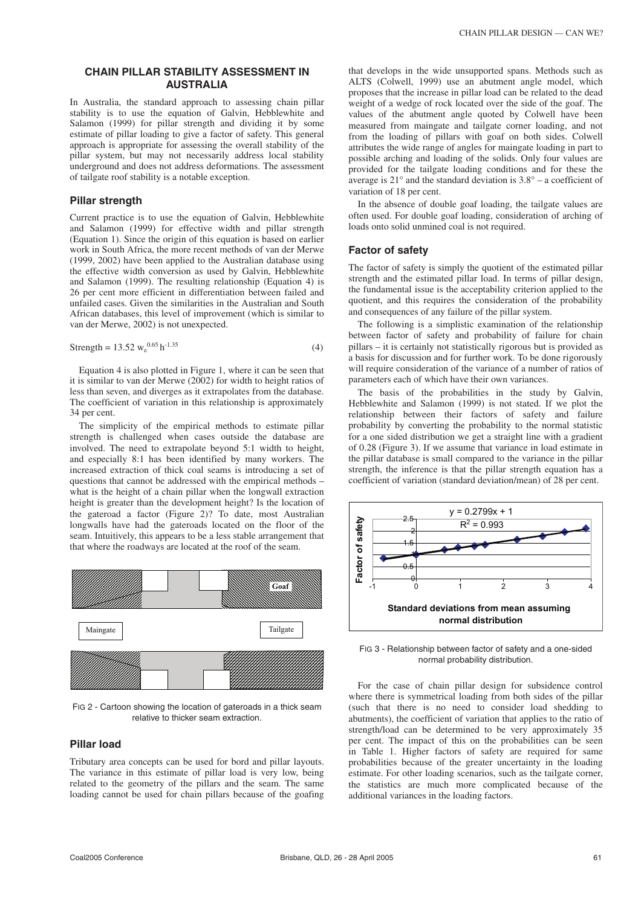#### **CHAIN PILLAR STABILITY ASSESSMENT IN AUSTRALIA**

In Australia, the standard approach to assessing chain pillar stability is to use the equation of Galvin, Hebblewhite and Salamon (1999) for pillar strength and dividing it by some estimate of pillar loading to give a factor of safety. This general approach is appropriate for assessing the overall stability of the pillar system, but may not necessarily address local stability underground and does not address deformations. The assessment of tailgate roof stability is a notable exception.

#### **Pillar strength**

Current practice is to use the equation of Galvin, Hebblewhite and Salamon (1999) for effective width and pillar strength (Equation 1). Since the origin of this equation is based on earlier work in South Africa, the more recent methods of van der Merwe (1999, 2002) have been applied to the Australian database using the effective width conversion as used by Galvin, Hebblewhite and Salamon (1999). The resulting relationship (Equation 4) is 26 per cent more efficient in differentiation between failed and unfailed cases. Given the similarities in the Australian and South African databases, this level of improvement (which is similar to van der Merwe, 2002) is not unexpected.

$$
Strength = 13.52 w_e^{0.65} h^{-1.35}
$$
 (4)

Equation 4 is also plotted in Figure 1, where it can be seen that it is similar to van der Merwe (2002) for width to height ratios of less than seven, and diverges as it extrapolates from the database. The coefficient of variation in this relationship is approximately 34 per cent.

The simplicity of the empirical methods to estimate pillar strength is challenged when cases outside the database are involved. The need to extrapolate beyond 5:1 width to height, and especially 8:1 has been identified by many workers. The increased extraction of thick coal seams is introducing a set of questions that cannot be addressed with the empirical methods – what is the height of a chain pillar when the longwall extraction height is greater than the development height? Is the location of the gateroad a factor (Figure 2)? To date, most Australian longwalls have had the gateroads located on the floor of the seam. Intuitively, this appears to be a less stable arrangement that that where the roadways are located at the roof of the seam.



FIG 2 - Cartoon showing the location of gateroads in a thick seam relative to thicker seam extraction.

#### **Pillar load**

Tributary area concepts can be used for bord and pillar layouts. The variance in this estimate of pillar load is very low, being related to the geometry of the pillars and the seam. The same loading cannot be used for chain pillars because of the goafing that develops in the wide unsupported spans. Methods such as ALTS (Colwell, 1999) use an abutment angle model, which proposes that the increase in pillar load can be related to the dead weight of a wedge of rock located over the side of the goaf. The values of the abutment angle quoted by Colwell have been measured from maingate and tailgate corner loading, and not from the loading of pillars with goaf on both sides. Colwell attributes the wide range of angles for maingate loading in part to possible arching and loading of the solids. Only four values are provided for the tailgate loading conditions and for these the average is  $21^\circ$  and the standard deviation is  $3.8^\circ$  – a coefficient of variation of 18 per cent.

In the absence of double goaf loading, the tailgate values are often used. For double goaf loading, consideration of arching of loads onto solid unmined coal is not required.

#### **Factor of safety**

The factor of safety is simply the quotient of the estimated pillar strength and the estimated pillar load. In terms of pillar design, the fundamental issue is the acceptability criterion applied to the quotient, and this requires the consideration of the probability and consequences of any failure of the pillar system.

The following is a simplistic examination of the relationship between factor of safety and probability of failure for chain pillars – it is certainly not statistically rigorous but is provided as a basis for discussion and for further work. To be done rigorously will require consideration of the variance of a number of ratios of parameters each of which have their own variances.

The basis of the probabilities in the study by Galvin, Hebblewhite and Salamon (1999) is not stated. If we plot the relationship between their factors of safety and failure probability by converting the probability to the normal statistic for a one sided distribution we get a straight line with a gradient of 0.28 (Figure 3). If we assume that variance in load estimate in the pillar database is small compared to the variance in the pillar strength, the inference is that the pillar strength equation has a coefficient of variation (standard deviation/mean) of 28 per cent.



FIG 3 - Relationship between factor of safety and a one-sided normal probability distribution.

For the case of chain pillar design for subsidence control where there is symmetrical loading from both sides of the pillar (such that there is no need to consider load shedding to abutments), the coefficient of variation that applies to the ratio of strength/load can be determined to be very approximately 35 per cent. The impact of this on the probabilities can be seen in Table 1. Higher factors of safety are required for same probabilities because of the greater uncertainty in the loading estimate. For other loading scenarios, such as the tailgate corner, the statistics are much more complicated because of the additional variances in the loading factors.